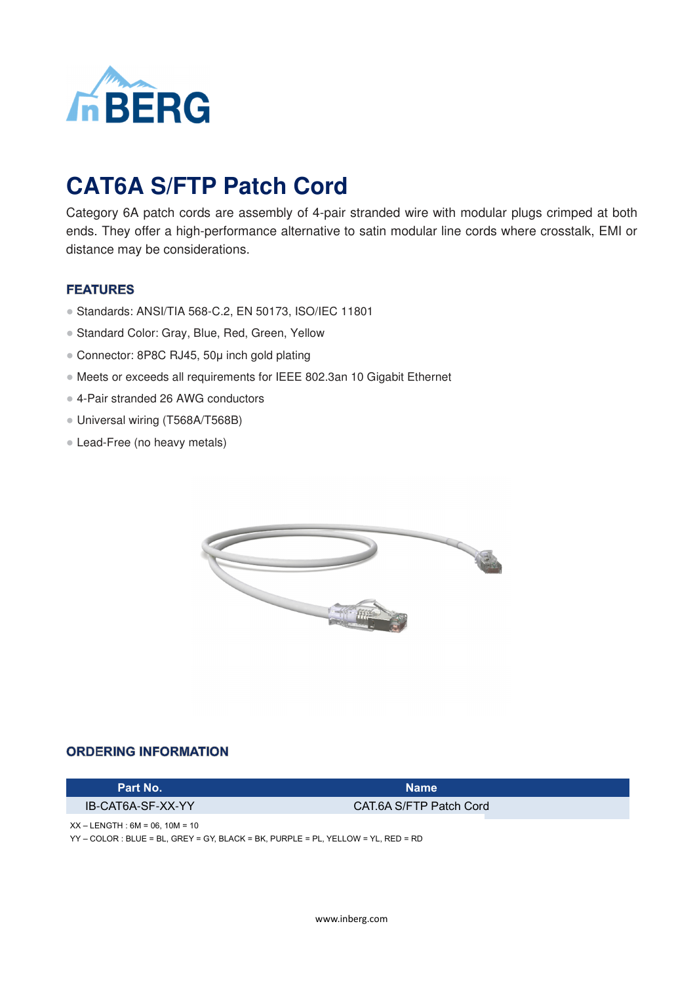

# **CAT6A S/FTP Patch Cord**

Category 6A patch cords are assembly of 4-pair stranded wire with modular plugs crimped at both ends. They offer a high-performance alternative to satin modular line cords where crosstalk, EMI or distance may be considerations.

### **FEATURES**

- Standards: ANSI/TIA 568-C.2, EN 50173, ISO/IEC 11801
- Standard Color: Gray, Blue, Red, Green, Yellow
- Connector: 8P8C RJ45, 50µ inch gold plating
- Meets or exceeds all requirements for IEEE 802.3an 10 Gigabit Ethernet
- 4-Pair stranded 26 AWG conductors
- Universal wiring (T568A/T568B)
- Lead-Free (no heavy metals)



#### **ORDERING INFORMATION**

#### **Part No. Name**

IB-CAT6A-SF-XX-YY CAT.6A S/FTP Patch Cord

 $XX - LENGTH : 6M = 06, 10M = 10$ 

YY – COLOR : BLUE = BL, GREY = GY, BLACK = BK, PURPLE = PL, YELLOW = YL, RED = RD